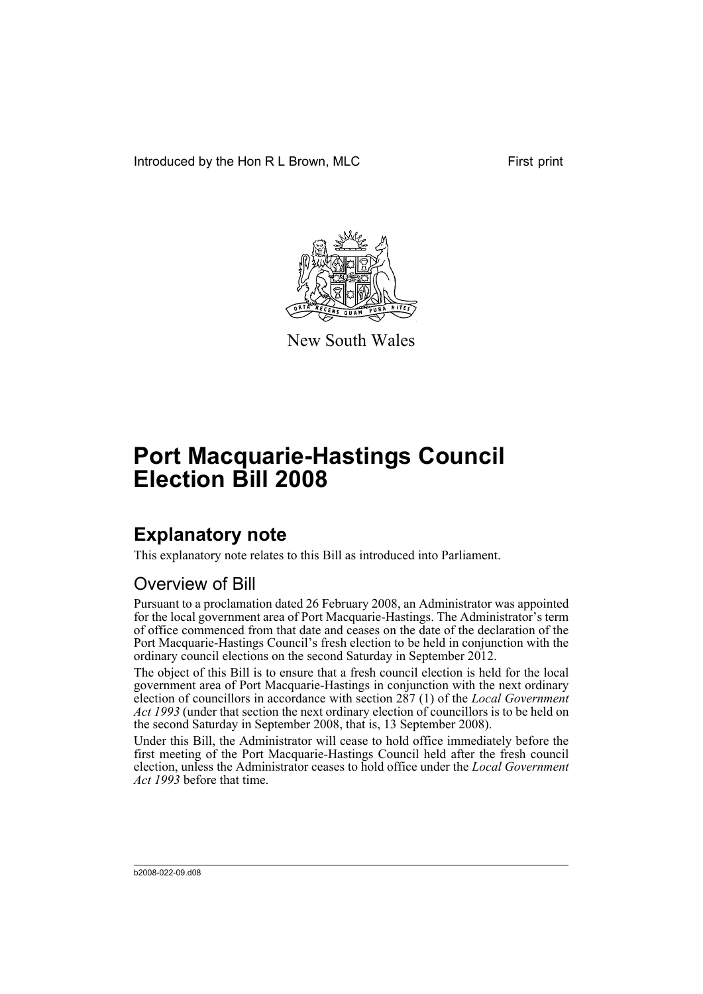Introduced by the Hon R L Brown, MLC First print



New South Wales

# **Port Macquarie-Hastings Council Election Bill 2008**

## **Explanatory note**

This explanatory note relates to this Bill as introduced into Parliament.

### Overview of Bill

Pursuant to a proclamation dated 26 February 2008, an Administrator was appointed for the local government area of Port Macquarie-Hastings. The Administrator's term of office commenced from that date and ceases on the date of the declaration of the Port Macquarie-Hastings Council's fresh election to be held in conjunction with the ordinary council elections on the second Saturday in September 2012.

The object of this Bill is to ensure that a fresh council election is held for the local government area of Port Macquarie-Hastings in conjunction with the next ordinary election of councillors in accordance with section 287 (1) of the *Local Government Act 1993* (under that section the next ordinary election of councillors is to be held on the second Saturday in September 2008, that is, 13 September 2008).

Under this Bill, the Administrator will cease to hold office immediately before the first meeting of the Port Macquarie-Hastings Council held after the fresh council election, unless the Administrator ceases to hold office under the *Local Government Act 1993* before that time.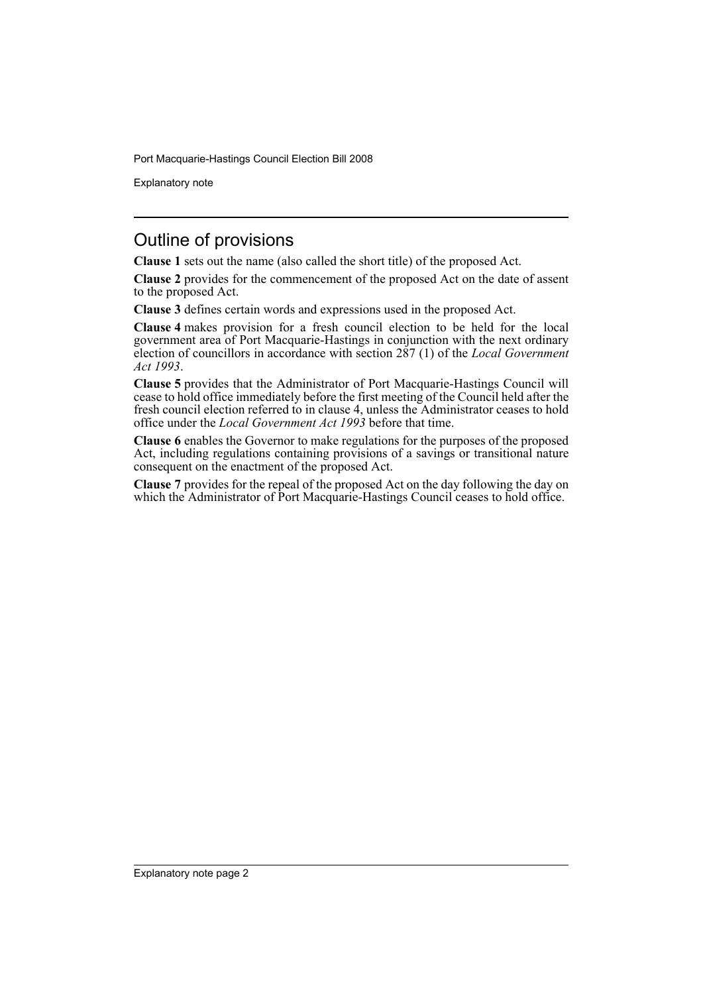Port Macquarie-Hastings Council Election Bill 2008

Explanatory note

#### Outline of provisions

**Clause 1** sets out the name (also called the short title) of the proposed Act.

**Clause 2** provides for the commencement of the proposed Act on the date of assent to the proposed Act.

**Clause 3** defines certain words and expressions used in the proposed Act.

**Clause 4** makes provision for a fresh council election to be held for the local government area of Port Macquarie-Hastings in conjunction with the next ordinary election of councillors in accordance with section 287 (1) of the *Local Government Act 1993*.

**Clause 5** provides that the Administrator of Port Macquarie-Hastings Council will cease to hold office immediately before the first meeting of the Council held after the fresh council election referred to in clause 4, unless the Administrator ceases to hold office under the *Local Government Act 1993* before that time.

**Clause 6** enables the Governor to make regulations for the purposes of the proposed Act, including regulations containing provisions of a savings or transitional nature consequent on the enactment of the proposed Act.

**Clause 7** provides for the repeal of the proposed Act on the day following the day on which the Administrator of Port Macquarie-Hastings Council ceases to hold office.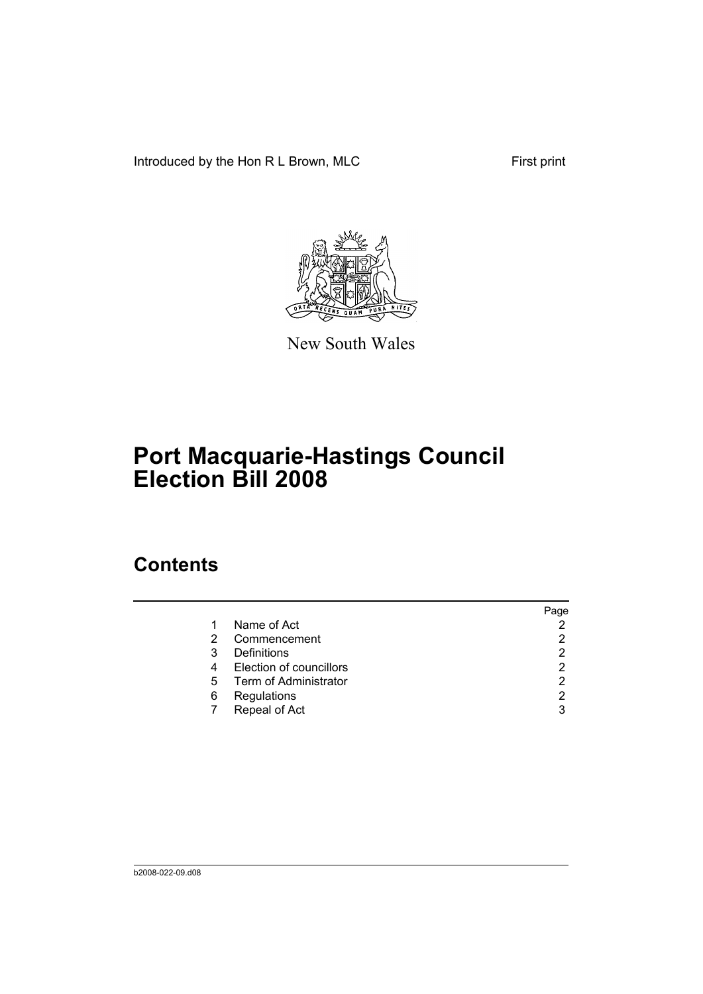Introduced by the Hon R L Brown, MLC First print



New South Wales

# **Port Macquarie-Hastings Council Election Bill 2008**

## **Contents**

|          |                         | Page |
|----------|-------------------------|------|
| 1        | Name of Act             |      |
| $\sim$ 2 | Commencement            |      |
| 3        | Definitions             |      |
| 4        | Election of councillors |      |
| 5        | Term of Administrator   |      |
| 6        | Regulations             |      |
|          | Repeal of Act           |      |
|          |                         |      |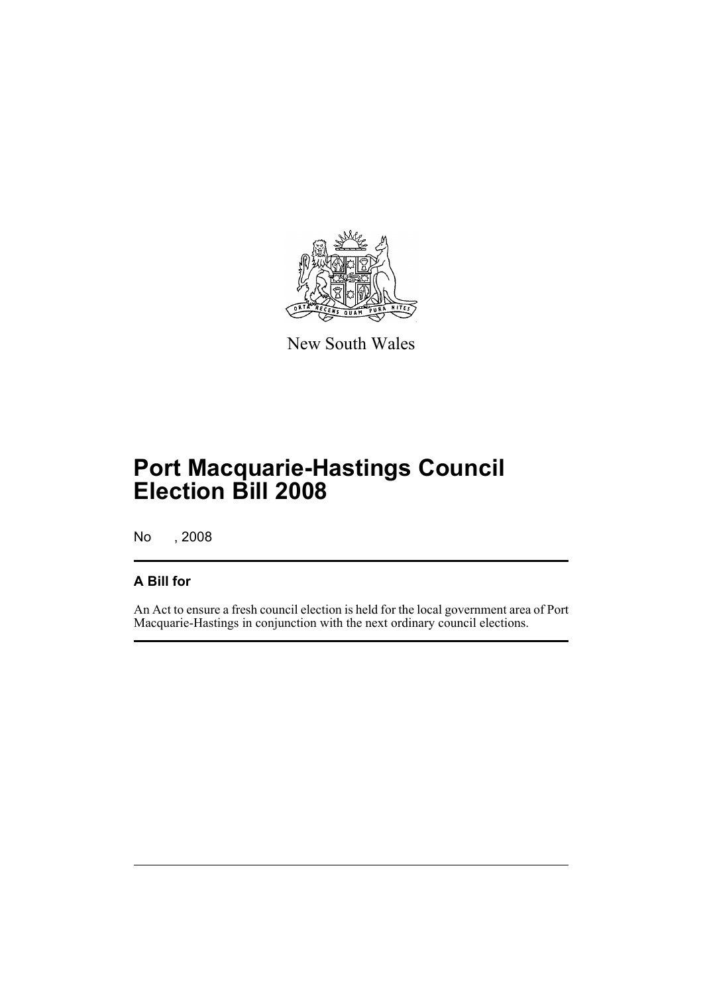

New South Wales

## **Port Macquarie-Hastings Council Election Bill 2008**

No , 2008

#### **A Bill for**

An Act to ensure a fresh council election is held for the local government area of Port Macquarie-Hastings in conjunction with the next ordinary council elections.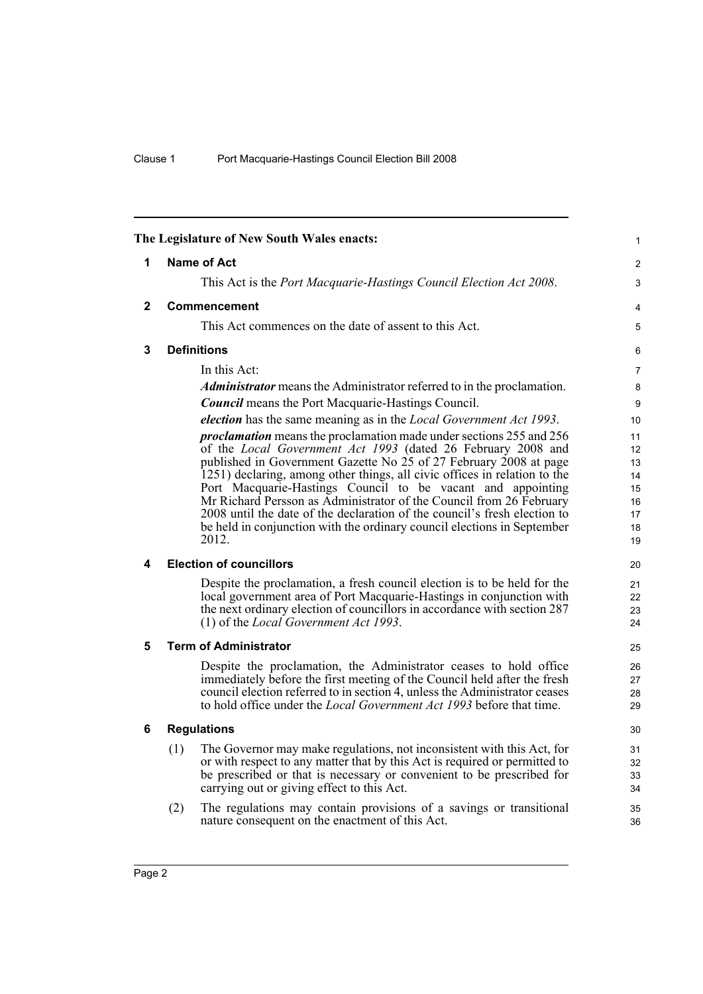<span id="page-5-5"></span><span id="page-5-4"></span><span id="page-5-3"></span><span id="page-5-2"></span><span id="page-5-1"></span><span id="page-5-0"></span>

|              | The Legislature of New South Wales enacts:                                                                                                             | $\mathbf{1}$   |
|--------------|--------------------------------------------------------------------------------------------------------------------------------------------------------|----------------|
| 1            | Name of Act                                                                                                                                            | 2              |
|              | This Act is the <i>Port Macquarie-Hastings Council Election Act 2008</i> .                                                                             | 3              |
| $\mathbf{2}$ | Commencement                                                                                                                                           | 4              |
|              | This Act commences on the date of assent to this Act.                                                                                                  | 5              |
| 3            | <b>Definitions</b>                                                                                                                                     | 6              |
|              | In this Act:                                                                                                                                           | $\overline{7}$ |
|              | <i>Administrator</i> means the Administrator referred to in the proclamation.                                                                          | 8              |
|              | <b>Council</b> means the Port Macquarie-Hastings Council.                                                                                              | 9              |
|              | <i>election</i> has the same meaning as in the <i>Local Government Act 1993</i> .                                                                      | 10             |
|              | <i>proclamation</i> means the proclamation made under sections 255 and 256                                                                             | 11             |
|              | of the Local Government Act 1993 (dated 26 February 2008 and                                                                                           | 12             |
|              | published in Government Gazette No 25 of 27 February 2008 at page<br>1251) declaring, among other things, all civic offices in relation to the         | 13<br>14       |
|              | Port Macquarie-Hastings Council to be vacant and appointing                                                                                            | 15             |
|              | Mr Richard Persson as Administrator of the Council from 26 February                                                                                    | 16             |
|              | 2008 until the date of the declaration of the council's fresh election to                                                                              | 17             |
|              | be held in conjunction with the ordinary council elections in September<br>2012.                                                                       | 18<br>19       |
| 4            | <b>Election of councillors</b>                                                                                                                         | 20             |
|              | Despite the proclamation, a fresh council election is to be held for the                                                                               | 21             |
|              | local government area of Port Macquarie-Hastings in conjunction with                                                                                   | 22             |
|              | the next ordinary election of councillors in accordance with section 287                                                                               | 23             |
|              | (1) of the <i>Local Government Act 1993</i> .                                                                                                          | 24             |
| 5            | <b>Term of Administrator</b>                                                                                                                           | 25             |
|              | Despite the proclamation, the Administrator ceases to hold office                                                                                      | 26             |
|              | immediately before the first meeting of the Council held after the fresh<br>council election referred to in section 4, unless the Administrator ceases | 27             |
|              | to hold office under the <i>Local Government Act 1993</i> before that time.                                                                            | 28<br>29       |
| 6            | <b>Regulations</b>                                                                                                                                     | 30             |
|              | The Governor may make regulations, not inconsistent with this Act, for<br>(1)                                                                          | 31             |
|              | or with respect to any matter that by this Act is required or permitted to                                                                             | 32             |
|              | be prescribed or that is necessary or convenient to be prescribed for                                                                                  | 33             |
|              | carrying out or giving effect to this Act.                                                                                                             | 34             |
|              | The regulations may contain provisions of a savings or transitional<br>(2)                                                                             | 35             |
|              | nature consequent on the enactment of this Act.                                                                                                        | 36             |
|              |                                                                                                                                                        |                |